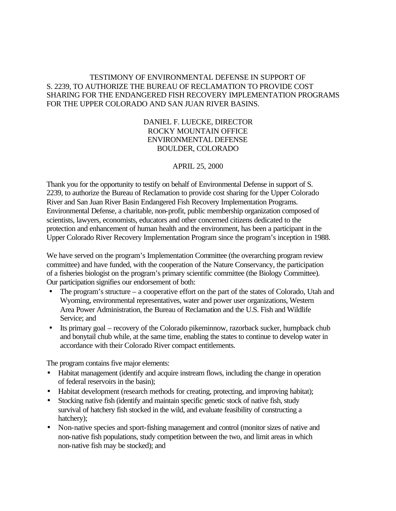## TESTIMONY OF ENVIRONMENTAL DEFENSE IN SUPPORT OF S. 2239, TO AUTHORIZE THE BUREAU OF RECLAMATION TO PROVIDE COST SHARING FOR THE ENDANGERED FISH RECOVERY IMPLEMENTATION PROGRAMS FOR THE UPPER COLORADO AND SAN JUAN RIVER BASINS.

## DANIEL F. LUECKE, DIRECTOR ROCKY MOUNTAIN OFFICE ENVIRONMENTAL DEFENSE BOULDER, COLORADO

## APRIL 25, 2000

Thank you for the opportunity to testify on behalf of Environmental Defense in support of S. 2239, to authorize the Bureau of Reclamation to provide cost sharing for the Upper Colorado River and San Juan River Basin Endangered Fish Recovery Implementation Programs. Environmental Defense, a charitable, non-profit, public membership organization composed of scientists, lawyers, economists, educators and other concerned citizens dedicated to the protection and enhancement of human health and the environment, has been a participant in the Upper Colorado River Recovery Implementation Program since the program's inception in 1988.

We have served on the program's Implementation Committee (the overarching program review committee) and have funded, with the cooperation of the Nature Conservancy, the participation of a fisheries biologist on the program's primary scientific committee (the Biology Committee). Our participation signifies our endorsement of both:

- The program's structure a cooperative effort on the part of the states of Colorado, Utah and Wyoming, environmental representatives, water and power user organizations, Western Area Power Administration, the Bureau of Reclamation and the U.S. Fish and Wildlife Service; and
- Its primary goal recovery of the Colorado pikeminnow, razorback sucker, humpback chub and bonytail chub while, at the same time, enabling the states to continue to develop water in accordance with their Colorado River compact entitlements.

The program contains five major elements:

- Habitat management (identify and acquire instream flows, including the change in operation of federal reservoirs in the basin);
- Habitat development (research methods for creating, protecting, and improving habitat);
- Stocking native fish (identify and maintain specific genetic stock of native fish, study survival of hatchery fish stocked in the wild, and evaluate feasibility of constructing a hatchery);
- Non-native species and sport-fishing management and control (monitor sizes of native and non-native fish populations, study competition between the two, and limit areas in which non-native fish may be stocked); and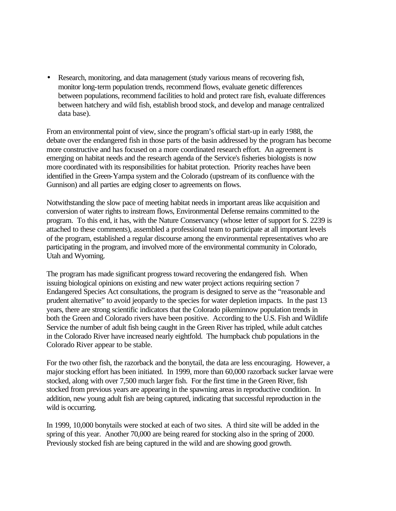• Research, monitoring, and data management (study various means of recovering fish, monitor long-term population trends, recommend flows, evaluate genetic differences between populations, recommend facilities to hold and protect rare fish, evaluate differences between hatchery and wild fish, establish brood stock, and develop and manage centralized data base).

From an environmental point of view, since the program's official start-up in early 1988, the debate over the endangered fish in those parts of the basin addressed by the program has become more constructive and has focused on a more coordinated research effort. An agreement is emerging on habitat needs and the research agenda of the Service's fisheries biologists is now more coordinated with its responsibilities for habitat protection. Priority reaches have been identified in the Green-Yampa system and the Colorado (upstream of its confluence with the Gunnison) and all parties are edging closer to agreements on flows.

Notwithstanding the slow pace of meeting habitat needs in important areas like acquisition and conversion of water rights to instream flows, Environmental Defense remains committed to the program. To this end, it has, with the Nature Conservancy (whose letter of support for S. 2239 is attached to these comments), assembled a professional team to participate at all important levels of the program, established a regular discourse among the environmental representatives who are participating in the program, and involved more of the environmental community in Colorado, Utah and Wyoming.

The program has made significant progress toward recovering the endangered fish. When issuing biological opinions on existing and new water project actions requiring section 7 Endangered Species Act consultations, the program is designed to serve as the "reasonable and prudent alternative" to avoid jeopardy to the species for water depletion impacts. In the past 13 years, there are strong scientific indicators that the Colorado pikeminnow population trends in both the Green and Colorado rivers have been positive. According to the U.S. Fish and Wildlife Service the number of adult fish being caught in the Green River has tripled, while adult catches in the Colorado River have increased nearly eightfold. The humpback chub populations in the Colorado River appear to be stable.

For the two other fish, the razorback and the bonytail, the data are less encouraging. However, a major stocking effort has been initiated. In 1999, more than 60,000 razorback sucker larvae were stocked, along with over 7,500 much larger fish. For the first time in the Green River, fish stocked from previous years are appearing in the spawning areas in reproductive condition. In addition, new young adult fish are being captured, indicating that successful reproduction in the wild is occurring.

In 1999, 10,000 bonytails were stocked at each of two sites. A third site will be added in the spring of this year. Another 70,000 are being reared for stocking also in the spring of 2000. Previously stocked fish are being captured in the wild and are showing good growth.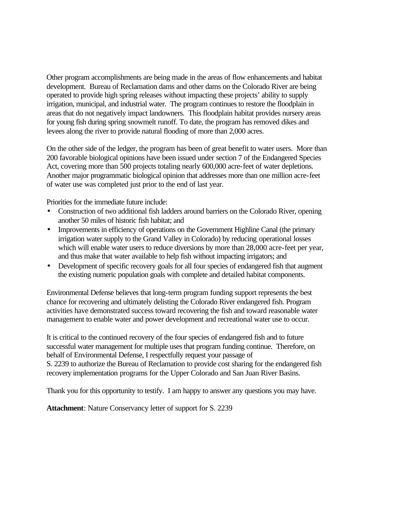Other program accomplishments are being made in the areas of flow enhancements and habitat development. Bureau of Reclamation dams and other dams on the Colorado River are being operated to provide high spring releases without impacting these projects' ability to supply irrigation, municipal, and industrial water. The program continues to restore the floodplain in areas that do not negatively impact landowners. This floodplain habitat provides nursery areas for young fish during spring snowmelt runoff. To date, the program has removed dikes and levees along the river to provide natural flooding of more than 2,000 acres.

On the other side of the ledger, the program has been of great benefit to water users. More than 200 favorable biological opinions have been issued under section 7 of the Endangered Species Act, covering more than 500 projects totaling nearly 600,000 acre-feet of water depletions. Another major programmatic biological opinion that addresses more than one million acre-feet of water use was completed just prior to the end of last year.

Priorities for the immediate future include:

- Construction of two additional fish ladders around barriers on the Colorado River, opening another 50 miles of historic fish habitat; and
- Improvements in efficiency of operations on the Government Highline Canal (the primary irrigation water supply to the Grand Valley in Colorado) by reducing operational losses which will enable water users to reduce diversions by more than 28,000 acre-feet per year, and thus make that water available to help fish without impacting irrigators; and
- Development of specific recovery goals for all four species of endangered fish that augment the existing numeric population goals with complete and detailed habitat components.

Environmental Defense believes that long-term program funding support represents the best chance for recovering and ultimately delisting the Colorado River endangered fish. Program activities have demonstrated success toward recovering the fish and toward reasonable water management to enable water and power development and recreational water use to occur.

It is critical to the continued recovery of the four species of endangered fish and to future successful water management for multiple uses that program funding continue. Therefore, on behalf of Environmental Defense, I respectfully request your passage of S. 2239 to authorize the Bureau of Reclamation to provide cost sharing for the endangered fish recovery implementation programs for the Upper Colorado and San Juan River Basins.

Thank you for this opportunity to testify. I am happy to answer any questions you may have.

**Attachment**: Nature Conservancy letter of support for S. 2239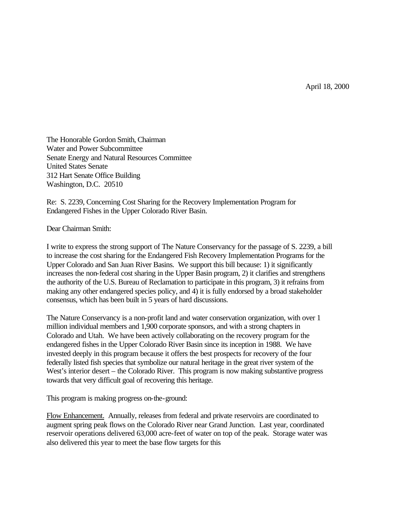April 18, 2000

The Honorable Gordon Smith, Chairman Water and Power Subcommittee Senate Energy and Natural Resources Committee United States Senate 312 Hart Senate Office Building Washington, D.C. 20510

Re: S. 2239, Concerning Cost Sharing for the Recovery Implementation Program for Endangered Fishes in the Upper Colorado River Basin.

Dear Chairman Smith:

I write to express the strong support of The Nature Conservancy for the passage of S. 2239, a bill to increase the cost sharing for the Endangered Fish Recovery Implementation Programs for the Upper Colorado and San Juan River Basins. We support this bill because: 1) it significantly increases the non-federal cost sharing in the Upper Basin program, 2) it clarifies and strengthens the authority of the U.S. Bureau of Reclamation to participate in this program, 3) it refrains from making any other endangered species policy, and 4) it is fully endorsed by a broad stakeholder consensus, which has been built in 5 years of hard discussions.

The Nature Conservancy is a non-profit land and water conservation organization, with over 1 million individual members and 1,900 corporate sponsors, and with a strong chapters in Colorado and Utah. We have been actively collaborating on the recovery program for the endangered fishes in the Upper Colorado River Basin since its inception in 1988. We have invested deeply in this program because it offers the best prospects for recovery of the four federally listed fish species that symbolize our natural heritage in the great river system of the West's interior desert – the Colorado River. This program is now making substantive progress towards that very difficult goal of recovering this heritage.

This program is making progress on-the-ground:

Flow Enhancement. Annually, releases from federal and private reservoirs are coordinated to augment spring peak flows on the Colorado River near Grand Junction. Last year, coordinated reservoir operations delivered 63,000 acre-feet of water on top of the peak. Storage water was also delivered this year to meet the base flow targets for this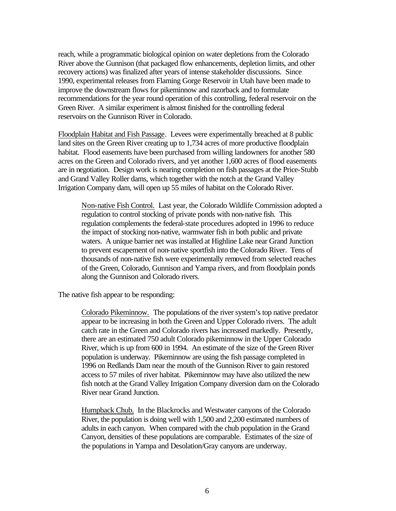reach, while a programmatic biological opinion on water depletions from the Colorado River above the Gunnison (that packaged flow enhancements, depletion limits, and other recovery actions) was finalized after years of intense stakeholder discussions. Since 1990, experimental releases from Flaming Gorge Reservoir in Utah have been made to improve the downstream flows for pikeminnow and razorback and to formulate recommendations for the year round operation of this controlling, federal reservoir on the Green River. A similar experiment is almost finished for the controlling federal reservoirs on the Gunnison River in Colorado.

Floodplain Habitat and Fish Passage. Levees were experimentally breached at 8 public land sites on the Green River creating up to 1,734 acres of more productive floodplain habitat. Flood easements have been purchased from willing landowners for another 580 acres on the Green and Colorado rivers, and yet another 1,600 acres of flood easements are in negotiation. Design work is nearing completion on fish passages at the Price-Stubb and Grand Valley Roller dams, which together with the notch at the Grand Valley Irrigation Company dam, will open up 55 miles of habitat on the Colorado River.

Non-native Fish Control. Last year, the Colorado Wildlife Commission adopted a regulation to control stocking of private ponds with non-native fish. This regulation complements the federal-state procedures adopted in 1996 to reduce the impact of stocking non-native, warmwater fish in both public and private waters. A unique barrier net was installed at Highline Lake near Grand Junction to prevent escapement of non-native sportfish into the Colorado River. Tens of thousands of non-native fish were experimentally removed from selected reaches of the Green, Colorado, Gunnison and Yampa rivers, and from floodplain ponds along the Gunnison and Colorado rivers.

The native fish appear to be responding:

Colorado Pikeminnow. The populations of the river system's top native predator appear to be increasing in both the Green and Upper Colorado rivers. The adult catch rate in the Green and Colorado rivers has increased markedly. Presently, there are an estimated 750 adult Colorado pikeminnow in the Upper Colorado River, which is up from 600 in 1994. An estimate of the size of the Green River population is underway. Pikeminnow are using the fish passage completed in 1996 on Redlands Dam near the mouth of the Gunnison River to gain restored access to 57 miles of river habitat. Pikeminnow may have also utilized the new fish notch at the Grand Valley Irrigation Company diversion dam on the Colorado River near Grand Junction.

Humpback Chub. In the Blackrocks and Westwater canyons of the Colorado River, the population is doing well with 1,500 and 2,200 estimated numbers of adults in each canyon. When compared with the chub population in the Grand Canyon, densities of these populations are comparable. Estimates of the size of the populations in Yampa and Desolation/Gray canyons are underway.